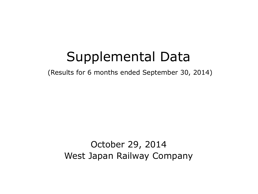# Supplemental Data

(Results for 6 months ended September 30, 2014)

# October 29, 2014 West Japan Railway Company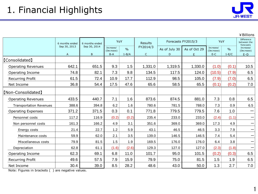#### ¥Billions

1

|                                | 6 months ended               | 6 months ended    | YoY                              |                            | <b>Results</b>           | Forecasts FY2015/3 |                    | YoY                              |                          | Difference<br>between the<br>forecasts |
|--------------------------------|------------------------------|-------------------|----------------------------------|----------------------------|--------------------------|--------------------|--------------------|----------------------------------|--------------------------|----------------------------------------|
|                                | Sep 30, 2013<br>$\mathsf{A}$ | Sep 30, 2014<br>B | Increase/<br>(Decrease)<br>$B-A$ | $\frac{0}{0}$<br>$1 - B/A$ | FY2014/3<br>$\mathsf{C}$ | As of July 30<br>D | As of Oct 29<br>E. | Increase/<br>(Decrease)<br>$E-C$ | $\frac{0}{0}$<br>$1-E/C$ | Increase/<br>(Decrease)<br>$E-D$       |
| <b>[Consolidated]</b>          |                              |                   |                                  |                            |                          |                    |                    |                                  |                          |                                        |
| <b>Operating Revenues</b>      | 642.1                        | 651.5             | 9.3                              | 1.5                        | 1,331.0                  | 1,319.5            | 1,330.0            | (1.0)                            | (0.1)                    | 10.5                                   |
| Operating Income               | 74.8                         | 82.1              | 7.3                              | 9.8                        | 134.5                    | 117.5              | 124.0              | (10.5)                           | (7.9)                    | 6.5                                    |
| <b>Recurring Profit</b>        | 61.5                         | 72.4              | 10.9                             | 17.7                       | 112.9                    | 98.5               | 105.0              | (7.9)                            | (7.0)                    | 6.5                                    |
| Net Income                     | 36.8                         | 54.4              | 17.5                             | 47.6                       | 65.6                     | 58.5               | 65.5               | (0.1)                            | (0.2)                    | 7.0                                    |
| [Non-Consolidated]             |                              |                   |                                  |                            |                          |                    |                    |                                  |                          |                                        |
| <b>Operating Revenues</b>      | 433.5                        | 440.7             | 7.1                              | 1.6                        | 873.6                    | 874.5              | 881.0              | 7.3                              | 0.8                      | 6.5                                    |
| <b>Transportation Revenues</b> | 388.6                        | 394.8             | 6.2                              | 1.6                        | 780.6                    | 781.5              | 788.0              | 7.3                              | 0.9                      | 6.5                                    |
| <b>Operating Expenses</b>      | 371.2                        | 371.5             | 0.3                              | 0.1                        | 771.8                    | 779.5              | 779.5              | 7.6                              | 1.0                      |                                        |
| Personnel costs                | 117.2                        | 116.9             | (0.2)                            | (0.2)                      | 235.4                    | 233.0              | 233.0              | (2.4)                            | (1.1)                    | —                                      |
| Non personnel costs            | 161.3                        | 166.2             | 4.9                              | 3.1                        | 351.6                    | 369.0              | 369.0              | 17.3                             | 4.9                      | —                                      |
| Energy costs                   | 21.4                         | 22.7              | 1.2                              | 5.9                        | 43.1                     | 46.5               | 46.5               | 3.3                              | 7.9                      | —                                      |
| Maintenance costs              | 59.9                         | 62.0              | 2.1                              | 3.5                        | 139.0                    | 146.5              | 146.5              | 7.4                              | 5.4                      | —                                      |
| Miscellaneous costs            | 79.9                         | 81.5              | 1.5                              | 1.9                        | 169.5                    | 176.0              | 176.0              | 6.4                              | 3.8                      | —                                      |
| Depreciation                   | 62.8                         | 61.1              | (1.6)                            | (2.6)                      | 129.3                    | 127.0              | 127.0              | (2.3)                            | (1.8)                    | -                                      |
| Operating Income               | 62.3                         | 69.1              | 6.8                              | 11.0                       | 101.7                    | 95.0               | 101.5              | (0.2)                            | (0.3)                    | 6.5                                    |
| <b>Recurring Profit</b>        | 49.6                         | 57.5              | 7.9                              | 15.9                       | 79.9                     | 75.0               | 81.5               | 1.5                              | 1.9                      | 6.5                                    |
| Net Income                     | 30.4                         | 39.0              | 8.5                              | 28.2                       | 48.6                     | 43.0               | 50.0               | 1.3                              | 2.7                      | 7.0                                    |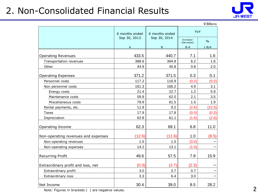# 2. Non-Consolidated Financial Results



|                                     |                |                |                         | ¥ Billions    |
|-------------------------------------|----------------|----------------|-------------------------|---------------|
|                                     | 6 months ended | 6 months ended | YoY                     |               |
|                                     | Sep 30, 2013   | Sep 30, 2014   | Increase/<br>(Decrease) | $\frac{0}{0}$ |
|                                     | Α              | $\sf B$        | $B-A$                   | $1 - B/A$     |
| <b>Operating Revenues</b>           | 433.5          | 440.7          | 7.1                     | 1.6           |
| Transportation revenues             | 388.6          | 394.8          | 6.2                     | 1.6           |
| Other                               | 44.9           | 45.8           | 0.8                     | 2.0           |
| <b>Operating Expenses</b>           | 371.2          | 371.5          | 0.3                     | 0.1           |
| Personnel costs                     | 117.2          | 116.9          | (0.2)                   | (0.2)         |
| Non personnel costs                 | 161.3          | 166.2          | 4.9                     | 3.1           |
| Energy costs                        | 21.4           | 22.7           | 1.2                     | 5.9           |
| Maintenance costs                   | 59.9           | 62.0           | 2.1                     | 3.5           |
| Miscellaneous costs                 | 79.9           | 81.5           | 1.5                     | 1.9           |
| Rental payments, etc.               | 11.8           | 9.2            | (2.6)                   | (22.5)        |
| <b>Taxes</b>                        | 17.9           | 17.8           | (0.0)                   | (0.2)         |
| Depreciation                        | 62.8           | 61.1           | (1.6)                   | (2.6)         |
| Operating Income                    | 62.3           | 69.1           | 6.8                     | 11.0          |
| Non-operating revenues and expenses | (12.6)         | (11.6)         | 1.0                     | (8.5)         |
| Non-operating revenues              | 1.5            | 1.5            | (0.0)                   |               |
| Non-operating expenses              | 14.2           | 13.1           | (1.0)                   |               |
| <b>Recurring Profit</b>             | 49.6           | 57.5           | 7.9                     | 15.9          |
| Extraordinary profit and loss, net  | (0.3)          | (2.7)          | (2.3)                   |               |
| Extraordinary profit                | 3.0            | 3.7            | 0.7                     |               |
| Extraordinary loss                  | 3.3            | 6.4            | 3.0                     |               |
| Net Income                          | 30.4           | 39.0           | 8.5                     | 28.2          |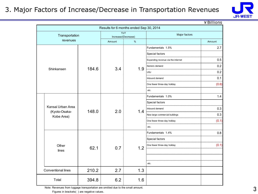#### 3. Major Factors of Increase/Decrease in Transportation Revenues



¥Billions

|  |                             |       | Results for 6 months ended Sep 30, 2014 |      |                                    |        |
|--|-----------------------------|-------|-----------------------------------------|------|------------------------------------|--------|
|  | Transportation              |       | Increase/(Decrease)                     | YoY  | Major factors                      |        |
|  | revenues                    |       | Amount                                  | $\%$ |                                    | Amount |
|  |                             |       |                                         |      | Fundamentals 1.5%                  | 2.7    |
|  |                             |       |                                         |      | Special factors                    |        |
|  |                             |       |                                         | 1.9  | Expanding revenue via the internet | 0.5    |
|  | Shinkansen                  | 184.6 | 3.4                                     |      | Seniors demand                     | 0.2    |
|  |                             |       |                                         |      | <b>USJ</b>                         | 0.2    |
|  |                             |       |                                         |      | Inbound demand                     | 0.1    |
|  |                             |       |                                         |      | One fewer three-day holiday        | (0.6)  |
|  |                             |       |                                         |      | etc.                               |        |
|  |                             |       |                                         | 1.4  | Fundamentals 1.0%                  | 1.4    |
|  |                             |       | 2.0                                     |      | Special factors                    |        |
|  | Kansai Urban Area           |       |                                         |      | Inbound demand                     | 0.3    |
|  | (Kyoto-Osaka-<br>Kobe Area) | 148.0 |                                         |      | New large commercial buildings     | 0.3    |
|  |                             |       |                                         |      | One fewer three-day holiday        | (0.1)  |
|  |                             |       |                                         |      | etc.                               |        |
|  |                             |       |                                         |      | Fundamentals 1.4%                  | 0.8    |
|  |                             |       |                                         |      | Special factors                    |        |
|  | Other                       | 62.1  | 0.7                                     | 1.2  | One fewer three-day holiday        | (0.1)  |
|  | lines                       |       |                                         |      |                                    |        |
|  |                             |       |                                         |      |                                    |        |
|  |                             |       |                                         |      | etc.                               |        |
|  | Conventional lines          | 210.2 | 2.7                                     | 1.3  |                                    |        |
|  | Total                       | 394.8 | 6.2                                     | 1.6  |                                    |        |

Note: Revenues from luggage transportation are omitted due to the small amount.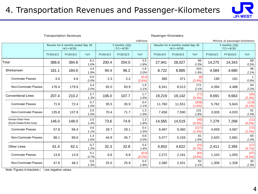

|                                              |                                                        | <b>Transportation Revenues</b> |                                    |          |          |                                                        | Passenger-Kilometers |                                  |                                    |          |          |                    |
|----------------------------------------------|--------------------------------------------------------|--------------------------------|------------------------------------|----------|----------|--------------------------------------------------------|----------------------|----------------------------------|------------------------------------|----------|----------|--------------------|
|                                              |                                                        |                                |                                    |          |          | ¥Billions                                              |                      | Millions of passenger-kilometers |                                    |          |          |                    |
|                                              | Results for 6 months ended Sep 30<br>$(4/1 \sim 9/30)$ |                                | 3 months (2Q)<br>$(7/1 \sim 9/30)$ |          |          | Results for 6 months ended Sep 30<br>$(4/1 \sim 9/30)$ |                      |                                  | 3 months (2Q)<br>$(7/1 \sim 9/30)$ |          |          |                    |
|                                              | FY2014/3                                               | FY2015/3                       | YoY                                | FY2014/3 | FY2015/3 | YoY                                                    | FY2014/3             | FY2015/3                         | YoY                                | FY2014/3 | FY2015/3 | YoY                |
| Total                                        | 388.6                                                  | 394.8                          | 6.2<br>1.6%                        | 200.4    | 204.0    | 3.5<br>1.8%                                            | 27,941               | 28,027                           | 86<br>0.3%                         | 14,275   | 14,343   | 68<br>0.5%         |
| Shinkansen                                   | 181.1                                                  | 184.6                          | 3.4<br>1.9%                        | 94.4     | 96.2     | 1.8<br>2.0%                                            | 8,722                | 8,885                            | 163<br>1.9%                        | 4,584    | 4,680    | 96<br>2.1%         |
| <b>Commuter Passes</b>                       | 4.6                                                    | 4.6                            | 0.0<br>0.0%                        | 2.3      | 2.2      | (0.0)<br>(2.6%)                                        | 380                  | 371                              | (8)<br>(2.4%)                      | 190      | 191      | 0.9%               |
| Non-Commuter Passes                          | 176.4                                                  | 179.9                          | 3.4<br>2.0%                        | 92.0     | 93.9     | 1.9<br>2.1%                                            | 8,341                | 8,513                            | 172<br>2.1%                        | 4,394    | 4,488    | 94<br>2.2%         |
| <b>Conventional Lines</b>                    | 207.4                                                  | 210.2                          | 2.7<br>1.3%                        | 106.0    | 107.7    | 1.7<br>1.6%                                            | 19,219               | 19,142                           | (77)<br>(0.4%                      | 9,691    | 9,663    | (28)<br>(0.3%)     |
| <b>Commuter Passes</b>                       | 71.6                                                   | 72.4                           | 0.7<br>1.0%                        | 35.5     | 35.9     | 0.4<br>1.1%                                            | 11,760               | 11,551                           | (208)<br>(1.8%)                    | 5,762    | 5,643    | (119)<br>$(2.1\%)$ |
| Non-Commuter Passes                          | 135.8                                                  | 137.8                          | 2.0<br>1.5%                        | 70.4     | 71.7     | 1.3<br>1.9%                                            | 7,458                | 7,590                            | 131<br>1.8%                        | 3,928    | 4,020    | 91<br>2.3%         |
| Kansai Urban Area<br>(Kyoto-Osaka-Kobe Area) | 146.0                                                  | 148.0                          | 2.0<br>1.4%                        | 73.6     | 74.9     | 1.3<br>1.8%                                            | 14,565               | 14,519                           | (46)<br>(0.3%)                     | 7,279    | 7,268    | (11)<br>(0.2%)     |
| <b>Commuter Passes</b>                       | 57.8                                                   | 58.4                           | 0.6<br>1.1%                        | 28.7     | 29.1     | 0.4<br>1.5%                                            | 9,487                | 9,360                            | (127)<br>(1.3%)                    | 4,659    | 4,587    | (72)<br>(1.5%)     |
| Non-Commuter Passes                          | 88.1                                                   | 89.6                           | 1.4<br>1.6%                        | 44.9     | 45.7     | 0.8<br>2.0%                                            | 5,077                | 5,159                            | 81<br>1.6%                         | 2,620    | 2,681    | 60<br>2.3%         |
| <b>Other Lines</b>                           | 61.4                                                   | 62.1                           | 0.7<br>1.2%                        | 32.3     | 32.8     | 0.4<br>1.4%                                            | 4,653                | 4,622                            | (31)<br>(0.7%                      | 2,411    | 2,394    | (17)<br>(0.7%)     |
| <b>Commuter Passes</b>                       | 13.8                                                   | 13.9                           | 0.1<br>0.7%                        | 6.8      | 6.8      | (0.0)<br>(0.2%)                                        | 2,272                | 2,191                            | (81)<br>(3.6%)                     | 1,103    | 1,055    | (47)<br>(4.3%)     |
| Non-Commuter Passes                          | 47.6                                                   | 48.2                           | 0.6<br>1.3%                        | 25.5     | 25.9     | 0.4<br>1.8%                                            | 2,380                | 2,431                            | 50<br>2.1%                         | 1,308    | 1,338    | 30<br>2.3%         |
| Note: Figures in brackets (                  | are negative values.                                   |                                |                                    |          |          |                                                        |                      |                                  |                                    |          |          |                    |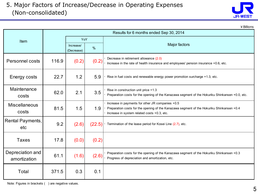

|                                  |       |                         |        | ¥ Billions                                                                                                                                                                                   |
|----------------------------------|-------|-------------------------|--------|----------------------------------------------------------------------------------------------------------------------------------------------------------------------------------------------|
|                                  |       |                         |        | Results for 6 months ended Sep 30, 2014                                                                                                                                                      |
| Item                             |       | YoY                     |        |                                                                                                                                                                                              |
|                                  |       | Increase/<br>(Decrease) | $\%$   | Major factors                                                                                                                                                                                |
| <b>Personnel costs</b>           | 116.9 | (0.2)                   | (0.2)  | Decrease in retirement allowance (2.0)<br>Increase in the rate of health insurance and employees' pension insurance +0.6, etc.                                                               |
| Energy costs                     | 22.7  | 1.2                     | 5.9    | Rise in fuel costs and renewable energy power promotion surcharge +1.3, etc.                                                                                                                 |
| Maintenance<br>costs             | 62.0  | 2.1                     | 3.5    | Rise in construction unit price +1.3<br>Preparation costs for the opening of the Kanazawa segment of the Hokuriku Shinkansen +0.0, etc.                                                      |
| <b>Miscellaneous</b><br>costs    | 81.5  | 1.5                     | 1.9    | Increase in payments for other JR companies +0.5<br>Preparation costs for the opening of the Kanazawa segment of the Hokuriku Shinkansen +0.4<br>Increase in system related costs +0.3, etc. |
| <b>Rental Payments,</b><br>etc   | 9.2   | (2.6)                   | (22.5) | Termination of the lease period for Kosei Line (2.7), etc.                                                                                                                                   |
| <b>Taxes</b>                     | 17.8  | (0.0)                   | (0.2)  |                                                                                                                                                                                              |
| Depreciation and<br>amortization | 61.1  | (1.6)                   | (2.6)  | Preparation costs for the opening of the Kanazawa segment of the Hokuriku Shinkansen +0.3<br>Progress of depreciation and amortization, etc.                                                 |
| Total                            | 371.5 | 0.3                     | 0.1    |                                                                                                                                                                                              |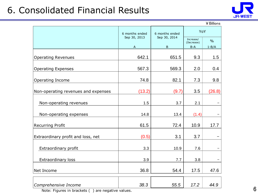# 6. Consolidated Financial Results



|                                     |                |                |                         | ¥ Billions    |
|-------------------------------------|----------------|----------------|-------------------------|---------------|
|                                     | 6 months ended | 6 months ended | YoY                     |               |
|                                     | Sep 30, 2013   | Sep 30, 2014   | Increase/<br>(Decrease) | $\frac{0}{0}$ |
|                                     | A              | B              | $B-A$                   | $1 - B/A$     |
| <b>Operating Revenues</b>           | 642.1          | 651.5          | 9.3                     | 1.5           |
| <b>Operating Expenses</b>           | 567.3          | 569.3          | 2.0                     | 0.4           |
| Operating Income                    | 74.8           | 82.1           | 7.3                     | 9.8           |
| Non-operating revenues and expenses | (13.2)         | (9.7)          | 3.5                     | (26.8)        |
| Non-operating revenues              | 1.5            | 3.7            | 2.1                     |               |
| Non-operating expenses              | 14.8           | 13.4           | (1.4)                   |               |
| <b>Recurring Profit</b>             | 61.5           | 72.4           | 10.9                    | 17.7          |
| Extraordinary profit and loss, net  | (0.5)          | 3.1            | 3.7                     |               |
| Extraordinary profit                | 3.3            | 10.9           | 7.6                     |               |
| <b>Extraordinary loss</b>           | 3.9            | 7.7            | 3.8                     |               |
| Net Income                          | 36.8           | 54.4           | 17.5                    | 47.6          |
| Comprehensive Income                | 38.3           | 55.5           | 17.2                    | 44.9          |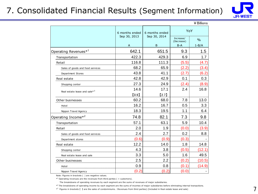## 7. Consolidated Financial Results (Segment Information)



|                                  |                |                |                         | ¥ Billions    |  |  |  |  |  |  |  |  |  |
|----------------------------------|----------------|----------------|-------------------------|---------------|--|--|--|--|--|--|--|--|--|
|                                  | 6 months ended | 6 months ended | YoY                     |               |  |  |  |  |  |  |  |  |  |
|                                  | Sep 30, 2013   | Sep 30, 2014   | Increase/<br>(Decrease) | $\frac{0}{0}$ |  |  |  |  |  |  |  |  |  |
|                                  | $\overline{A}$ | B              | $B-A$                   | $1 - B/A$     |  |  |  |  |  |  |  |  |  |
| Operating Revenues <sup>*1</sup> | 642.1          | 651.5          | 9.3                     | 1.5           |  |  |  |  |  |  |  |  |  |
| Transportation                   | 422.3          | 429.3          | 6.9                     | 1.7           |  |  |  |  |  |  |  |  |  |
| Retail                           | 116.8          | 111.3          | (5.5)                   | (4.7)         |  |  |  |  |  |  |  |  |  |
| Sales of goods and food services | 68.2           | 65.9           | (2.2)                   | (3.4)         |  |  |  |  |  |  |  |  |  |
| Department Stores                | 43.8           | 41.1           | (2.7)                   | (6.2)         |  |  |  |  |  |  |  |  |  |
| Real estate                      | 42.8           | 42.9           | 0.1                     | 0.3           |  |  |  |  |  |  |  |  |  |
| Shopping center                  | 27.3           | 24.9           | (2.4)                   | (8.9)         |  |  |  |  |  |  |  |  |  |
| Real estate lease and sale $*^3$ | 14.6           | 17.1           | 2.4                     | 16.8          |  |  |  |  |  |  |  |  |  |
|                                  | [0.9]          | [2.7]          |                         |               |  |  |  |  |  |  |  |  |  |
| Other businesses                 | 60.2           | 68.0           | 7.8                     | 13.0          |  |  |  |  |  |  |  |  |  |
| Hotel                            | 16.2           | 16.7           | 0.5                     | 3.3           |  |  |  |  |  |  |  |  |  |
| Nippon Travel Agency             | 18.3           | 19.5           | 1.1                     | 6.4           |  |  |  |  |  |  |  |  |  |
| Operating Income $*^2$           | 74.8           | 82.1           | 7.3                     | 9.8           |  |  |  |  |  |  |  |  |  |
| Transportation                   | 57.1           | 63.1           | 5.9                     | 10.4          |  |  |  |  |  |  |  |  |  |
| Retail                           | 2.0            | 1.9            | (0.0)                   | (3.9)         |  |  |  |  |  |  |  |  |  |
| Sales of goods and food services | 2.4            | 2.7            | 0.2                     | 8.8           |  |  |  |  |  |  |  |  |  |
| Department stores                | (0.6)          | (0.9)          | (0.3)                   |               |  |  |  |  |  |  |  |  |  |
| Real estate                      | 12.2           | 14.0           | 1.8                     | 14.8          |  |  |  |  |  |  |  |  |  |
| Shopping center                  | 4.3            | 3.8            | (0.5)                   | (12.1)        |  |  |  |  |  |  |  |  |  |
| Real estate lease and sale       | 3.3            | 5.0            | 1.6                     | 49.5          |  |  |  |  |  |  |  |  |  |
| Other businesses                 | 2.5            | 2.2            | (0.2)                   | (10.5)        |  |  |  |  |  |  |  |  |  |
| Hotel                            | 0.9            | 0.8            | (0.1)                   | (14.9)        |  |  |  |  |  |  |  |  |  |
| Nippon Travel Agency             | (0.2)          | (0.2)          | (0.0)                   |               |  |  |  |  |  |  |  |  |  |

Note: Figures in brackets ( ) are negative values.

 $*$ <sup>1</sup> Operating revenues are the revenues from third parties ( = customers).

The breakdowns of operating revenues by each segment are the sums of revenues of major subsidiaries.

\*<sup>2</sup> The breakdowns of operating income by each segment are the sums of incomes of major subsidiaries before eliminating internal transactions.

\* 3 Figures in brackets 【 】 are the sales of condominiums. (Revenues from third parties) (Included in Real estate lease and sale)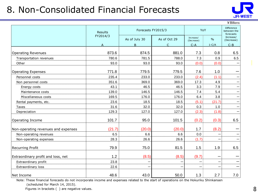# 8. Non-Consolidated Financial Forecasts



|                                     |                |                    |              |                         |         | ¥ Billions                                    |
|-------------------------------------|----------------|--------------------|--------------|-------------------------|---------|-----------------------------------------------|
|                                     | <b>Results</b> | Forecasts FY2015/3 |              | YoY                     |         | <b>Difference</b><br>between the<br>forecasts |
|                                     | FY2014/3       | As of July 30      | As of Oct 29 | Increase/<br>(Decrease) | $\%$    | Increase/<br>(Decrease)                       |
|                                     | А              | B                  | $\subset$    | $C - A$                 | $1-C/A$ | $C - B$                                       |
| <b>Operating Revenues</b>           | 873.6          | 874.5              | 881.0        | 7.3                     | 0.8     | 6.5                                           |
| Transportation revenues             | 780.6          | 781.5              | 788.0        | 7.3                     | 0.9     | 6.5                                           |
| Other                               | 93.0           | 93.0               | 93.0         | (0.0)                   | (0.0)   |                                               |
| <b>Operating Expenses</b>           | 771.8          | 779.5              | 779.5        | 7.6                     | 1.0     |                                               |
| Personnel costs                     | 235.4          | 233.0              | 233.0        | (2.4)                   | (1.1)   |                                               |
| Non personnel costs                 | 351.6          | 369.0              | 369.0        | 17.3                    | 4.9     |                                               |
| Energy costs                        | 43.1           | 46.5               | 46.5         | 3.3                     | 7.9     |                                               |
| Maintenance costs                   | 139.0          | 146.5              | 146.5        | 7.4                     | 5.4     |                                               |
| Miscellaneous costs                 | 169.5          | 176.0              | 176.0        | 6.4                     | 3.8     |                                               |
| Rental payments, etc.               | 23.6           | 18.5               | 18.5         | (5.1)                   | (21.7)  |                                               |
| <b>Taxes</b>                        | 31.6           | 32.0               | 32.0         | 0.3                     | 1.0     |                                               |
| Depreciation                        | 129.3          | 127.0              | 127.0        | (2.3)                   | (1.8)   |                                               |
| Operating Income                    | 101.7          | 95.0               | 101.5        | (0.2)                   | (0.3)   | 6.5                                           |
| Non-operating revenues and expenses | (21.7)         | (20.0)             | (20.0)       | 1.7                     | (8.2)   |                                               |
| Non-operating revenues              | 6.5            | 6.6                | 6.6          | 0.0                     |         |                                               |
| Non-operating expenses              | 28.3           | 26.6               | 26.6         | (1.7)                   |         |                                               |
| <b>Recurring Profit</b>             | 79.9           | 75.0               | 81.5         | 1.5                     | 1.9     | 6.5                                           |
| Extraordinary profit and loss, net  | 1.2            | (8.5)              | (8.5)        | (9.7)                   |         |                                               |
| Extraordinary profit                | 23.8           |                    |              |                         |         |                                               |
| Extraordinary loss                  | 22.6           |                    |              |                         |         |                                               |
| Net Income                          | 48.6           | 43.0               | 50.0         | 1.3                     | 2.7     | 7.0                                           |

Note: These financial forecasts do not incorporate income and expenses related to the start of operations on the Hokuriku Shinkansen (scheduled for March 14, 2015).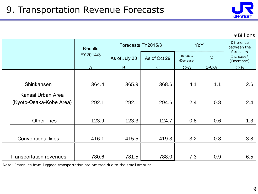

¥Billions

|  |                                | <b>Results</b> | Forecasts FY2015/3 |              |                         | YoY           | <b>Difference</b><br>between the     |  |
|--|--------------------------------|----------------|--------------------|--------------|-------------------------|---------------|--------------------------------------|--|
|  |                                | FY2014/3       | As of July 30      | As of Oct 29 | Increase/<br>(Decrease) | $\frac{0}{0}$ | forecasts<br>Increase/<br>(Decrease) |  |
|  |                                | $\mathsf{A}$   | B                  |              | $C-A$                   | $1-C/A$       | $C-B$                                |  |
|  |                                |                |                    |              |                         |               |                                      |  |
|  | Shinkansen                     | 364.4          | 365.9              | 368.6        | 4.1                     | 1.1           | 2.6                                  |  |
|  | Kansai Urban Area              |                |                    |              |                         |               |                                      |  |
|  | (Kyoto-Osaka-Kobe Area)        | 292.1          | 292.1              | 294.6        | 2.4                     | 0.8           | 2.4                                  |  |
|  |                                |                |                    |              |                         |               |                                      |  |
|  | <b>Other lines</b>             | 123.9          | 123.3              | 124.7        | 0.8                     | 0.6           | 1.3                                  |  |
|  |                                |                |                    |              |                         |               |                                      |  |
|  | <b>Conventional lines</b>      | 416.1          | 415.5              | 419.3        | 3.2                     | 0.8           | 3.8                                  |  |
|  |                                |                |                    |              |                         |               |                                      |  |
|  | <b>Transportation revenues</b> | 780.6          | 781.5              | 788.0        | 7.3                     | 0.9           | 6.5                                  |  |

Note: Revenues from luggage transportation are omitted due to the small amount.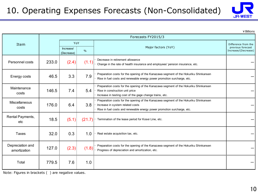

¥Billions

|                                  |       |                         |               | Forecasts FY2015/3                                                                                                                                                                                  |                                          |
|----------------------------------|-------|-------------------------|---------------|-----------------------------------------------------------------------------------------------------------------------------------------------------------------------------------------------------|------------------------------------------|
| Item                             |       | YoY                     |               | Major factors (YoY)                                                                                                                                                                                 | Difference from the<br>previous forecast |
|                                  |       | Increase/<br>(Decrease) | $\frac{0}{0}$ |                                                                                                                                                                                                     | Increase/(Decrease)                      |
| Personnel costs                  | 233.0 | (2.4)                   | (1.1)         | Decrease in retirement allowance<br>Change in the rate of health insurance and employees' pension insurance, etc.                                                                                   |                                          |
| Energy costs                     | 46.5  | 3.3                     | 7.9           | Preparation costs for the opening of the Kanazawa segment of the Hokuriku Shinkansen<br>Rise in fuel costs and renewable energy power promotion surcharge, etc.                                     |                                          |
| Maintenance<br>costs             | 146.5 | 7.4                     | 5.4           | Preparation costs for the opening of the Kanazawa segment of the Hokuriku Shinkansen<br>Rise in construction unit price<br>Increase in testing cost of the gage change trains, etc.                 |                                          |
| <b>Miscellaneous</b><br>costs    | 176.0 | 6.4                     | 3.8           | Preparation costs for the opening of the Kanazawa segment of the Hokuriku Shinkansen<br>Increase in system related costs<br>Rise in fuel costs and renewable energy power promotion surcharge, etc. |                                          |
| Rental Payments,<br>etc          | 18.5  | (5.1)                   | (21.7)        | Termination of the lease period for Kosei Line, etc.                                                                                                                                                |                                          |
| <b>Taxes</b>                     | 32.0  | 0.3                     | 1.0           | Real estate acquisition tax, etc.                                                                                                                                                                   |                                          |
| Depreciation and<br>amortization | 127.0 | (2.3)                   | (1.8)         | Preparation costs for the opening of the Kanazawa segment of the Hokuriku Shinkansen<br>Progress of depreciation and amortization, etc.                                                             |                                          |
| Total                            | 779.5 | 7.6                     | 1.0           |                                                                                                                                                                                                     |                                          |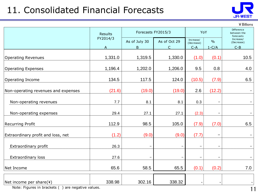# 11. Consolidated Financial Forecasts



¥Billions

|                                     | Results                    | Forecasts FY2015/3 |                   | YoY                              |                          | Difference<br>between the<br>forecasts |
|-------------------------------------|----------------------------|--------------------|-------------------|----------------------------------|--------------------------|----------------------------------------|
|                                     | FY2014/3<br>$\overline{A}$ | As of July 30<br>B | As of Oct 29<br>C | Increase/<br>(Decrease)<br>$C-A$ | $\frac{0}{0}$<br>$1-C/A$ | Increase/<br>(Decrease)<br>$C - B$     |
| <b>Operating Revenues</b>           | 1,331.0                    | 1,319.5            | 1,330.0           | (1.0)                            | (0.1)                    | 10.5                                   |
| <b>Operating Expenses</b>           | 1,196.4                    | 1,202.0            | 1,206.0           | 9.5                              | 0.8                      | 4.0                                    |
| Operating Income                    | 134.5                      | 117.5              | 124.0             | (10.5)                           | (7.9)                    | 6.5                                    |
| Non-operating revenues and expenses | (21.6)                     | (19.0)             | (19.0)            | 2.6                              | (12.2)                   |                                        |
| Non-operating revenues              | 7.7                        | 8.1                | 8.1               | 0.3                              | $\qquad \qquad -$        | $\qquad \qquad -$                      |
| Non-operating expenses              | 29.4                       | 27.1               | 27.1              | (2.3)                            | $\qquad \qquad -$        | $\qquad \qquad -$                      |
| <b>Recurring Profit</b>             | 112.9                      | 98.5               | 105.0             | (7.9)                            | (7.0)                    | 6.5                                    |
| Extraordinary profit and loss, net  | (1.2)                      | (9.0)              | (9.0)             | (7.7)                            | $\qquad \qquad -$        |                                        |
| Extraordinary profit                | 26.3                       |                    |                   |                                  | $\overline{\phantom{m}}$ |                                        |
| <b>Extraordinary loss</b>           | 27.6                       |                    |                   | -                                | $\qquad \qquad -$        | $\qquad \qquad -$                      |
| Net Income                          | 65.6                       | 58.5               | 65.5              | (0.1)                            | (0.2)                    | 7.0                                    |
| Net income per share(¥)             | 338.98                     | 302.16             | 338.32            |                                  |                          |                                        |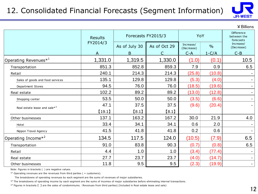#### 12. Consolidated Financial Forecasts (Segment Information)



¥Billions

|                                          | <b>Results</b> | Forecasts FY2015/3 |              |                         | YoY           | Difference<br>between the<br>forecasts |  |
|------------------------------------------|----------------|--------------------|--------------|-------------------------|---------------|----------------------------------------|--|
|                                          | FY2014/3       | As of July 30      | As of Oct 29 | Increase/<br>(Decrease) | $\frac{0}{0}$ | Increase/<br>(Decrease)                |  |
|                                          | A              | B                  | C            | $C - A$                 | $1-C/A$       | $C - B$                                |  |
| Operating Revenues $*^1$                 | 1,331.0        | 1,319.5            | 1,330.0      | (1.0)                   | (0.1)         | 10.5                                   |  |
| Transportation                           | 851.3          | 852.8              | 859.3        | 7.9                     | 0.9           | 6.5                                    |  |
| Retail                                   | 240.1          | 214.3              | 214.3        | (25.8)                  | (10.8)        |                                        |  |
| Sales of goods and food services         | 135.1          | 129.8              | 129.8        | (5.3)                   | (4.0)         |                                        |  |
| Department Stores                        | 94.5           | 76.0               | 76.0         | (18.5)                  | (19.6)        |                                        |  |
| Real estate                              | 102.2          | 89.2               | 89.2         | (13.0)                  | (12.8)        |                                        |  |
| Shopping center                          | 53.5           | 50.0               | 50.0         | (3.5)                   | (6.6)         |                                        |  |
| Real estate lease and sale* <sup>3</sup> | 47.1           | 37.5               | 37.5         | (9.6)                   | (20.4)        |                                        |  |
|                                          | [19.1]         | [8.1]              | [8.1]        |                         |               |                                        |  |
| Other businesses                         | 137.1          | 163.2              | 167.2        | 30.0                    | 21.9          | 4.0                                    |  |
| Hotel                                    | 33.4           | 34.1               | 34.1         | 0.6                     | 2.0           |                                        |  |
| Nippon Travel Agency                     | 41.5           | 41.8               | 41.8         | 0.2                     | 0.6           |                                        |  |
| Operating Income* <sup>2</sup>           | 134.5          | 117.5              | 124.0        | (10.5)                  | (7.9)         | 6.5                                    |  |
| Transportation                           | 91.0           | 83.8               | 90.3         | (0.7)                   | (0.8)         | 6.5                                    |  |
| Retail                                   | 4.4            | 1.0                | 1.0          | (3.4)                   | (77.4)        |                                        |  |
| Real estate                              | 27.7           | 23.7               | 23.7         | (4.0)                   | (14.7)        |                                        |  |
| Other businesses                         | 11.8           | 9.5                | 9.5          | (2.3)                   | (19.9)        |                                        |  |

Note: Figures in brackets ( ) are negative values.

 $*$ <sup>1</sup> Operating revenues are the revenues from third parties ( = customers).

The breakdowns of operating revenues by each segment are the sums of revenues of major subsidiaries.

 $*^2$  The breakdowns of operating income by each segment are the sums of incomes of major subsidiaries before eliminating internal transactions.

\* 3 Figures in brackets 【 】 are the sales of condominiums. (Revenues from third parties) (Included in Real estate lease and sale)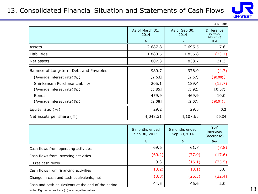#### 13. Consolidated Financial Situation and Statements of Cash Flows



|                                        |                         |                       | $\angle$ Billions                            |  |
|----------------------------------------|-------------------------|-----------------------|----------------------------------------------|--|
|                                        | As of March 31,<br>2014 | As of Sep 30,<br>2014 | <b>Difference</b><br>increase/<br>(decrease) |  |
|                                        | A                       | B                     | $B-A$                                        |  |
| Assets                                 | 2,687.8                 | 2,695.5               | 7.6                                          |  |
| <b>Liabilities</b>                     | 1,880.5                 | 1,856.8               | (23.7)                                       |  |
| Net assets                             | 807.3                   | 838.7                 | 31.3                                         |  |
| Balance of Long-term Debt and Payables | 980.7                   | 976.0                 | (4.7)                                        |  |
| [Average interest rate(%)]             | [2.63]                  | $[2.57]$              | $(0.06)$ ]                                   |  |
| Shinkansen Purchase Liability          | 205.1                   | 189.4                 | (15.7)                                       |  |
| [Average interest rate $(\% )$ ]       | [5.85]                  | $[5.92]$              | [0.07]                                       |  |
| <b>Bonds</b>                           | 459.9                   | 469.9                 | 10.0                                         |  |
| [Average interest rate(%)]             | [2.08]                  | $[2.07]$              | (0.01)                                       |  |
| Equity ratio $(\%)$                    | 29.2                    | 29.5                  | 0.3                                          |  |
| Net assets per share $(*)$             | 4,048.31                | 4,107.65              | 59.34                                        |  |

|                                                    | 6 months ended<br>Sep 30, 2013<br>A | 6 months ended<br>Sep 30,2014<br>B | YoY<br>increase/<br>(decrease)<br>$B-A$ |
|----------------------------------------------------|-------------------------------------|------------------------------------|-----------------------------------------|
| Cash flows from operating activities               | 69.6                                | 61.7                               | (7.8)                                   |
| Cash flows from investing activities               | (60.2)                              | (77.9)                             | (17.6)                                  |
| Free cash flows                                    | 9.3                                 | (16.1)                             | (25.5)                                  |
| Cash flows from financing activities               | (13.2)                              | (10.1)                             | 3.0                                     |
| Change in cash and cash equivalents, net           | (3.8)                               | (26.3)                             | (22.4)                                  |
| Cash and cash equivalents at the end of the period | 44.5                                | 46.6                               | 2.0                                     |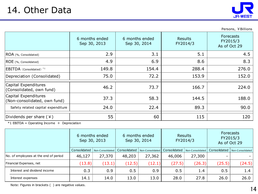

|                                                      | Persons, ¥Billions             |                                |                            |                                              |  |  |
|------------------------------------------------------|--------------------------------|--------------------------------|----------------------------|----------------------------------------------|--|--|
|                                                      | 6 months ended<br>Sep 30, 2013 | 6 months ended<br>Sep 30, 2014 | <b>Results</b><br>FY2014/3 | <b>Forecasts</b><br>FY2015/3<br>As of Oct 29 |  |  |
| ROA (%, Consolidated)                                | 2.9                            | 3.1                            | 5.1                        | 4.5                                          |  |  |
| ROE (%, Consolidated)                                | 4.9                            | 6.9                            | 8.6                        | 8.3                                          |  |  |
| EBITDA (Consolidated) <sup>*1</sup>                  | 149.8                          | 154.4                          | 288.4                      | 276.0                                        |  |  |
| Depreciation (Consolidated)                          | 75.0                           | 72.2                           | 153.9                      | 152.0                                        |  |  |
| Capital Expenditures<br>(Consolidated, own fund)     | 46.2                           | 73.7                           | 166.7                      | 224.0                                        |  |  |
| Capital Expenditures<br>(Non-consolidated, own fund) | 37.3                           | 58.3                           | 144.5                      | 188.0                                        |  |  |
| Safety related capital expenditure                   | 24.0                           | 22.4                           | 89.3                       | 90.0                                         |  |  |
| Dividends per share $(*)$                            | 55                             | 60                             | 115                        | 120                                          |  |  |

 $*1$  EBITDA = Operating Income + Depreciation

|                                       | 6 months ended<br>Sep 30, 2013 |                  | 6 months ended<br>Sep 30, 2014 |                  | <b>Results</b><br>FY2014/3 |                  | <b>Forecasts</b><br>FY2015/3<br>As of Oct 29 |                  |
|---------------------------------------|--------------------------------|------------------|--------------------------------|------------------|----------------------------|------------------|----------------------------------------------|------------------|
|                                       | Consolidated                   | Non-Consolidated | Consolidated                   | Non-Consolidated | Consolidated               | Non-Consolidated | Consolidated                                 | Non-Consolidated |
| No. of employees at the end of period | 46,127                         | 27,370           | 48,203                         | 27,362           | 46,006                     | 27,300           |                                              |                  |
| Financial Expenses, net               | (13.8)                         | (13.1)           | (12.5)                         | (12.1)           | (27.5)                     | (26.3)           | (25.5)                                       | (24.5)           |
| Interest and dividend income          | 0.3                            | 0.9 <sub>0</sub> | 0.5                            | 0.9              | 0.5                        | $1.4^{\circ}$    | 0.5                                          | 1.4              |
| Interest expenses                     | 14.1                           | 14.0             | 13.0                           | 13.0             | 28.0                       | 27.8             | 26.0                                         | 26.0             |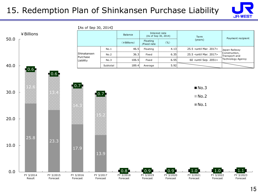## 15. Redemption Plan of Shinkansen Purchase Liability